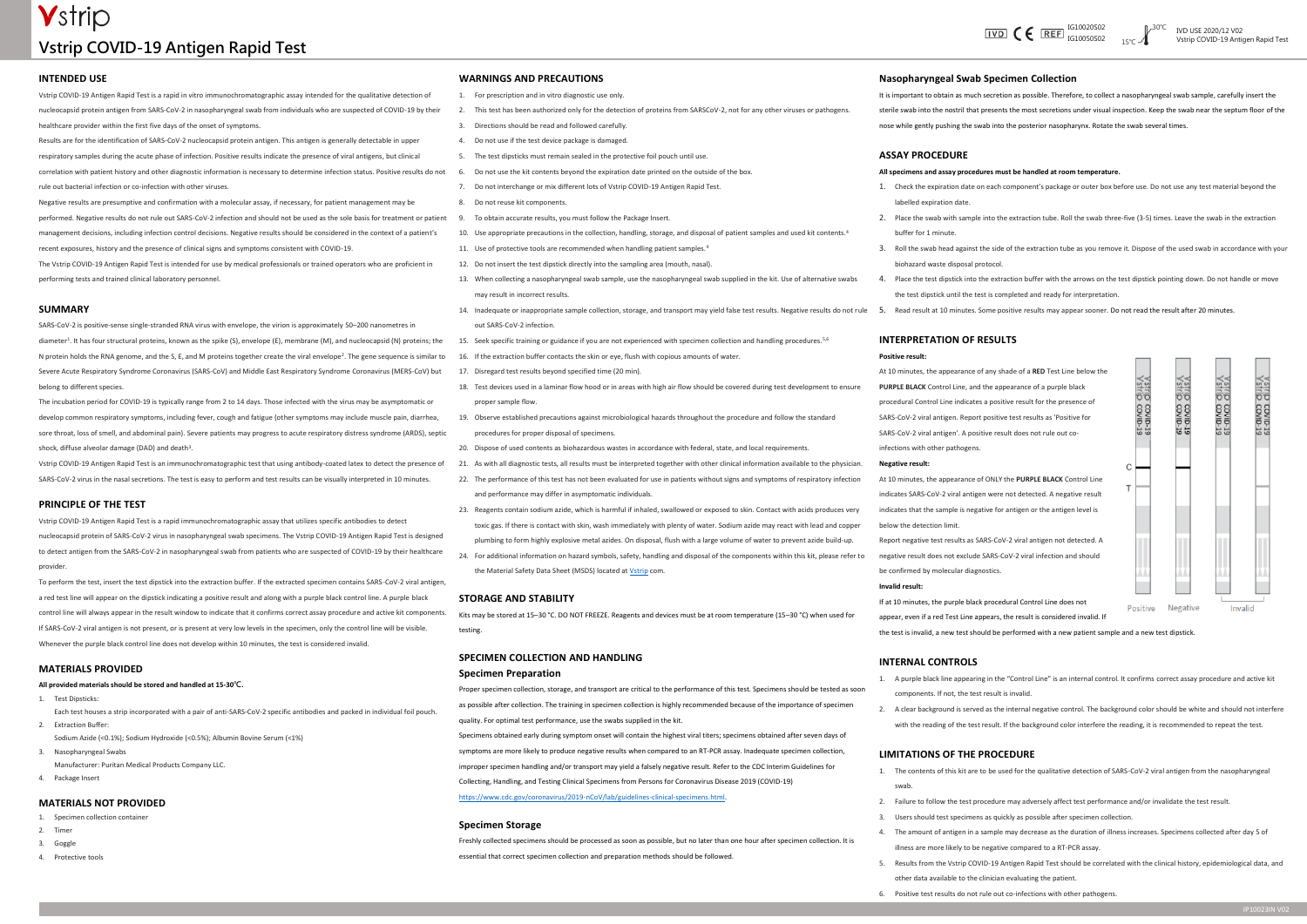# **V**strip **Vstrip COVID-19 Antigen Rapid Test**



#### **INTENDED USE**

Vstrip COVID-19 Antigen Rapid Test is a rapid in vitro immunochromatographic assay intended for the qualitative detection of nucleocapsid protein antigen from SARS-CoV-2 in nasopharyngeal swab from individuals who are suspected of COVID-19 by their healthcare provider within the first five days of the onset of symptoms.

Results are for the identification of SARS-CoV-2 nucleocapsid protein antigen. This antigen is generally detectable in upper respiratory samples during the acute phase of infection. Positive results indicate the presence of viral antigens, but clinical

correlation with patient history and other diagnostic information is necessary to determine infection status. Positive results do not rule out bacterial infection or co-infection with other viruses.

Negative results are presumptive and confirmation with a molecular assay, if necessary, for patient management may be

performed. Negative results do not rule out SARS-CoV-2 infection and should not be used as the sole basis for treatment or patient management decisions, including infection control decisions. Negative results should be considered in the context of a patient's recent exposures, history and the presence of clinical signs and symptoms consistent with COVID-19.

The Vstrip COVID-19 Antigen Rapid Test is intended for use by medical professionals or trained operators who are proficient in performing tests and trained clinical laboratory personnel.

#### **SUMMARY**

SARS-CoV-2 is positive-sense single-stranded RNA virus with envelope, the virion is approximately 50–200 nanometres in diameter<sup>1</sup> . It has four structural proteins, known as the spike (S), envelope (E), membrane (M), and nucleocapsid (N) proteins; the N protein holds the RNA genome, and the S, E, and M proteins together create the viral envelope<sup>2</sup>. The gene sequence is similar to Severe Acute Respiratory Syndrome Coronavirus (SARS-CoV) and Middle East Respiratory Syndrome Coronavirus (MERS-CoV) but belong to different species.

- 1. For prescription and in vitro diagnostic use only.
	- 2. This test has been authorized only for the detection of proteins from SARSCoV-2, not for any other viruses or pathogens.
	- 3. Directions should be read and followed carefully.
	- 4. Do not use if the test device package is damaged.
	- 5. The test dipsticks must remain sealed in the protective foil pouch until use.
	- 6. Do not use the kit contents beyond the expiration date printed on the outside of the box.
	- 7. Do not interchange or mix different lots of Vstrip COVID-19 Antigen Rapid Test.
	- 8. Do not reuse kit components.
	- 9. To obtain accurate results, you must follow the Package Insert.
	- 10. Use appropriate precautions in the collection, handling, storage, and disposal of patient samples and used kit contents.<sup>4</sup>
	- 11. Use of protective tools are recommended when handling patient samples.<sup>4</sup>
	- 12. Do not insert the test dipstick directly into the sampling area (mouth, nasal).
	- 13. When collecting a nasopharyngeal swab sample, use the nasopharyngeal swab supplied in the kit. Use of alternative swabs may result in incorrect results.
	- 14. Inadequate or inappropriate sample collection, storage, and transport may yield false test results. Negative results do not rule out SARS-CoV-2 infection.
	- 15. Seek specific training or guidance if you are not experienced with specimen collection and handling procedures.5,6
	- 16. If the extraction buffer contacts the skin or eye, flush with copious amounts of water.
	- 17. Disregard test results beyond specified time (20 min).
	- 18. Test devices used in a laminar flow hood or in areas with high air flow should be covered during test development to ensure proper sample flow.
	- 19. Observe established precautions against microbiological hazards throughout the procedure and follow the standard procedures for proper disposal of specimens.
	- 20. Dispose of used contents as biohazardous wastes in accordance with federal, state, and local requirements.
	- 21. As with all diagnostic tests, all results must be interpreted together with other clinical information available to the physician.
	- 22. The performance of this test has not been evaluated for use in patients without signs and symptoms of respiratory infection and performance may differ in asymptomatic individuals.
	- 23. Reagents contain sodium azide, which is harmful if inhaled, swallowed or exposed to skin. Contact with acids produces very toxic gas. If there is contact with skin, wash immediately with plenty of water. Sodium azide may react with lead and copper plumbing to form highly explosive metal azides. On disposal, flush with a large volume of water to prevent azide build-up.
	- 24. For additional information on hazard symbols, safety, handling and disposal of the components within this kit, please refer to the Material Safety Data Sheet (MSDS) located at *Vstrip* com.

The incubation period for COVID-19 is typically range from 2 to 14 days. Those infected with the virus may be asymptomatic or develop common respiratory symptoms, including fever, cough and fatigue (other symptoms may include muscle pain, diarrhea, sore throat, loss of smell, and abdominal pain). Severe patients may progress to acute respiratory distress syndrome (ARDS), septic shock, diffuse alveolar damage (DAD) and death<sup>3</sup> .

Vstrip COVID-19 Antigen Rapid Test is an immunochromatographic test that using antibody-coated latex to detect the presence of SARS-CoV-2 virus in the nasal secretions. The test is easy to perform and test results can be visually interpreted in 10 minutes.

#### **PRINCIPLE OF THE TEST**

Vstrip COVID-19 Antigen Rapid Test is a rapid immunochromatographic assay that utilizes specific antibodies to detect nucleocapsid protein of SARS-CoV-2 virus in nasopharyngeal swab specimens. The Vstrip COVID-19 Antigen Rapid Test is designed to detect antigen from the SARS-CoV-2 in nasopharyngeal swab from patients who are suspected of COVID-19 by their healthcare provider.

To perform the test, insert the test dipstick into the extraction buffer. If the extracted specimen contains SARS-CoV-2 viral antigen, a red test line will appear on the dipstick indicating a positive result and along with a purple black control line. A purple black control line will always appear in the result window to indicate that it confirms correct assay procedure and active kit components. If SARS-CoV-2 viral antigen is not present, or is present at very low levels in the specimen, only the control line will be visible. Whenever the purple black control line does not develop within 10 minutes, the test is considered invalid.

#### **MATERIALS PROVIDED**

#### **All provided materials should be stored and handled at 15-30℃.**

- 1. Test Dipsticks:
- Each test houses a strip incorporated with a pair of anti-SARS-CoV-2 specific antibodies and packed in individual foil pouch. 2. Extraction Buffer:

Sodium Azide (<0.1%); Sodium Hydroxide (<0.5%); Albumin Bovine Serum (<1%)

- 3. Nasopharyngeal Swabs Manufacturer: Puritan Medical Products Company LLC.
- 4. Package Insert

#### **MATERIALS NOT PROVIDED**

1. Specimen collection container

- 2. Timer
- 3. Goggle
- 4. Protective tools

#### **WARNINGS AND PRECAUTIONS**

#### **STORAGE AND STABILITY**

Kits may be stored at 15–30 °C. DO NOT FREEZE. Reagents and devices must be at room temperature (15–30 °C) when used for testing.

# **SPECIMEN COLLECTION AND HANDLING**

### **Specimen Preparation**

Proper specimen collection, storage, and transport are critical to the performance of this test. Specimens should be tested as soon as possible after collection. The training in specimen collection is highly recommended because of the importance of specimen quality. For optimal test performance, use the swabs supplied in the kit.

Specimens obtained early during symptom onset will contain the highest viral titers; specimens obtained after seven days of symptoms are more likely to produce negative results when compared to an RT-PCR assay. Inadequate specimen collection, improper specimen handling and/or transport may yield a falsely negative result. Refer to the CDC Interim Guidelines for Collecting, Handling, and Testing Clinical Specimens from Persons for Coronavirus Disease 2019 (COVID-19) [https://www.cdc.gov/coronavirus/2019-nCoV/lab/guidelines-clinical-specimens.html.](https://www.cdc.gov/coronavirus/2019-nCoV/lab/guidelines-clinical-specimens.html)

#### **Specimen Storage**

Freshly collected specimens should be processed as soon as possible, but no later than one hour after specimen collection. It is essential that correct specimen collection and preparation methods should be followed.

## **Nasopharyngeal Swab Specimen Collection**

It is important to obtain as much secretion as possible. Therefore, to collect a nasopharyngeal swab sample, carefully insert the sterile swab into the nostril that presents the most secretions under visual inspection. Keep the swab near the septum floor of the nose while gently pushing the swab into the posterior nasopharynx. Rotate the swab several times.

# **ASSAY PROCEDURE**

#### **All specimens and assay procedures must be handled at room temperature.**

1. Check the expiration date on each component's package or outer box before use. Do not use any test material beyond the

2. Place the swab with sample into the extraction tube. Roll the swab three-five (3-5) times. Leave the swab in the extraction

- labelled expiration date.
- buffer for 1 minute.
- biohazard waste disposal protocol.
- 
- 

3. Roll the swab head against the side of the extraction tube as you remove it. Dispose of the used swab in accordance with your

4. Place the test dipstick into the extraction buffer with the arrows on the test dipstick pointing down. Do not handle or move the test dipstick until the test is completed and ready for interpretation.

5. Read result at 10 minutes. Some positive results may appear sooner. Do not read the result after 20 minutes.

#### **INTERPRETATION OF RESULTS Positive result:**

At 10 minutes, the appearance of any shade of a **RED** Test Line below the **PURPLE BLACK** Control Line, and the appearance of a purple black procedural Control Line indicates a positive result for the presence of SARS-CoV-2 viral antigen. Report positive test results as 'Positive for SARS-CoV-2 viral antigen'. A positive result does not rule out coinfections with other pathogens.

#### **Negative result:**

At 10 minutes, the appearance of ONLY the **PURPLE BLACK** Control Line indicates SARS-CoV-2 viral antigen were not detected. A negative result indicates that the sample is negative for antigen or the antigen level is below the detection limit.

Report negative test results as SARS-CoV-2 viral antigen not detected. A negative result does not exclude SARS-CoV-2 viral infection and should be confirmed by molecular diagnostics. **Invalid result:**

If at 10 minutes, the purple black procedural Control Line does not Positive appear, even if a red Test Line appears, the result is considered invalid. If the test is invalid, a new test should be performed with a new patient sample and a new test dipstick.

### **INTERNAL CONTROLS**

1. A purple black line appearing in the "Control Line" is an internal control. It confirms correct assay procedure and active kit

- components. If not, the test result is invalid.
- 

2. A clear background is served as the internal negative control. The background color should be white and should not interfere with the reading of the test result. If the background color interfere the reading, it is recommended to repeat the test.

### **LIMITATIONS OF THE PROCEDURE**

1. The contents of this kit are to be used for the qualitative detection of SARS-CoV-2 viral antigen from the nasopharyngeal

- swab.
- 
- 
- 
- 
- 

2. Failure to follow the test procedure may adversely affect test performance and/or invalidate the test result.

3. Users should test specimens as quickly as possible after specimen collection.

4. The amount of antigen in a sample may decrease as the duration of illness increases. Specimens collected after day 5 of illness are more likely to be negative compared to a RT-PCR assay.

5. Results from the Vstrip COVID-19 Antigen Rapid Test should be correlated with the clinical history, epidemiological data, and other data available to the clinician evaluating the patient.

6. Positive test results do not rule out co-infections with other pathogens.